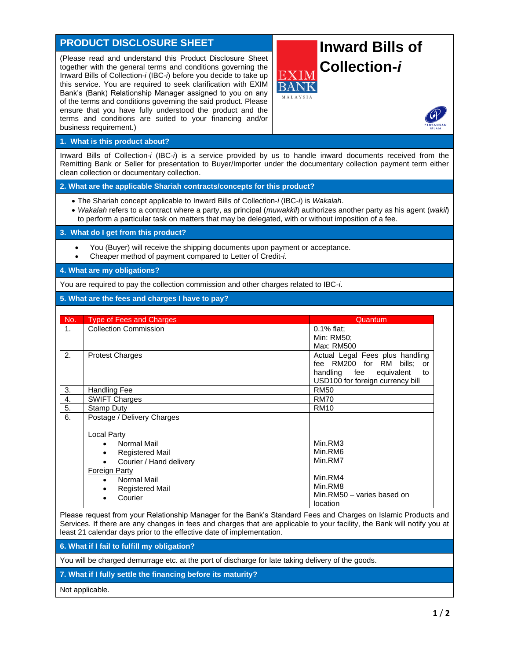## **PRODUCT DISCLOSURE SHEET**

(Please read and understand this Product Disclosure Sheet together with the general terms and conditions governing the Inward Bills of Collection-*i* (IBC-*i*) before you decide to take up this service. You are required to seek clarification with EXIM Bank's (Bank) Relationship Manager assigned to you on any of the terms and conditions governing the said product. Please ensure that you have fully understood the product and the terms and conditions are suited to your financing and/or business requirement.)

## **Inward Bills of Collection-***i*



## **1. What is this product about?**

Inward Bills of Collection-*i* (IBC-*i*) is a service provided by us to handle inward documents received from the Remitting Bank or Seller for presentation to Buyer/Importer under the documentary collection payment term either clean collection or documentary collection.

**2. What are the applicable Shariah contracts/concepts for this product?**

- The Shariah concept applicable to Inward Bills of Collection-*i* (IBC-*i*) is *Wakalah*.
- *Wakalah* refers to a contract where a party, as principal (*muwakkil*) authorizes another party as his agent (*wakil*) to perform a particular task on matters that may be delegated, with or without imposition of a fee.

**3. What do I get from this product?**

- You (Buyer) will receive the shipping documents upon payment or acceptance.
- Cheaper method of payment compared to Letter of Credit-*i*.

**4. What are my obligations?**

You are required to pay the collection commission and other charges related to IBC-*i*.

## **5. What are the fees and charges I have to pay?**

| No. | <b>Type of Fees and Charges</b> | Quantum                          |
|-----|---------------------------------|----------------------------------|
| 1.  | <b>Collection Commission</b>    | $0.1\%$ flat;                    |
|     |                                 | Min: RM50:                       |
|     |                                 | Max: RM500                       |
| 2.  | <b>Protest Charges</b>          | Actual Legal Fees plus handling  |
|     |                                 | fee RM200 for RM bills; or       |
|     |                                 | handling fee<br>equivalent<br>to |
|     |                                 | USD100 for foreign currency bill |
| 3.  | Handling Fee                    | <b>RM50</b>                      |
| 4.  | <b>SWIFT Charges</b>            | <b>RM70</b>                      |
| 5.  | Stamp Duty                      | <b>RM10</b>                      |
| 6.  | Postage / Delivery Charges      |                                  |
|     |                                 |                                  |
|     | Local Party                     |                                  |
|     | Normal Mail<br>$\bullet$        | Min.RM3                          |
|     | <b>Registered Mail</b><br>٠     | Min.RM6                          |
|     | Courier / Hand delivery         | Min.RM7                          |
|     | <b>Foreign Party</b>            |                                  |
|     | Normal Mail<br>$\bullet$        | Min.RM4                          |
|     | <b>Registered Mail</b><br>٠     | Min.RM8                          |
|     | Courier                         | Min.RM50 - varies based on       |
|     |                                 | location                         |

Please request from your Relationship Manager for the Bank's Standard Fees and Charges on Islamic Products and Services. If there are any changes in fees and charges that are applicable to your facility, the Bank will notify you at least 21 calendar days prior to the effective date of implementation.

**6. What if I fail to fulfill my obligation?**

You will be charged demurrage etc. at the port of discharge for late taking delivery of the goods.

**7. What if I fully settle the financing before its maturity?**

Not applicable.